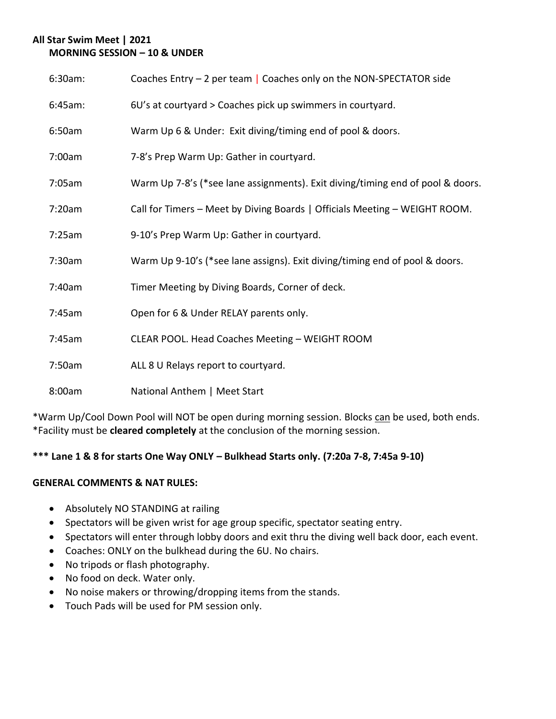## **All Star Swim Meet | 2021 MORNING SESSION – 10 & UNDER**

| 6:30am: | Coaches Entry $-2$ per team   Coaches only on the NON-SPECTATOR side           |
|---------|--------------------------------------------------------------------------------|
| 6:45am: | 6U's at courtyard > Coaches pick up swimmers in courtyard.                     |
| 6:50am  | Warm Up 6 & Under: Exit diving/timing end of pool & doors.                     |
| 7:00am  | 7-8's Prep Warm Up: Gather in courtyard.                                       |
| 7:05am  | Warm Up 7-8's (*see lane assignments). Exit diving/timing end of pool & doors. |
| 7:20am  | Call for Timers - Meet by Diving Boards   Officials Meeting - WEIGHT ROOM.     |
| 7:25am  | 9-10's Prep Warm Up: Gather in courtyard.                                      |
| 7:30am  | Warm Up 9-10's (*see lane assigns). Exit diving/timing end of pool & doors.    |
| 7:40am  | Timer Meeting by Diving Boards, Corner of deck.                                |
| 7:45am  | Open for 6 & Under RELAY parents only.                                         |
| 7:45am  | CLEAR POOL. Head Coaches Meeting - WEIGHT ROOM                                 |
| 7:50am  | ALL 8 U Relays report to courtyard.                                            |
| 8:00am  | National Anthem   Meet Start                                                   |

\*Warm Up/Cool Down Pool will NOT be open during morning session. Blocks can be used, both ends. \*Facility must be **cleared completely** at the conclusion of the morning session.

# **\*\*\* Lane 1 & 8 for starts One Way ONLY – Bulkhead Starts only. (7:20a 7-8, 7:45a 9-10)**

### **GENERAL COMMENTS & NAT RULES:**

- Absolutely NO STANDING at railing
- Spectators will be given wrist for age group specific, spectator seating entry.
- Spectators will enter through lobby doors and exit thru the diving well back door, each event.
- Coaches: ONLY on the bulkhead during the 6U. No chairs.
- No tripods or flash photography.
- No food on deck. Water only.
- No noise makers or throwing/dropping items from the stands.
- Touch Pads will be used for PM session only.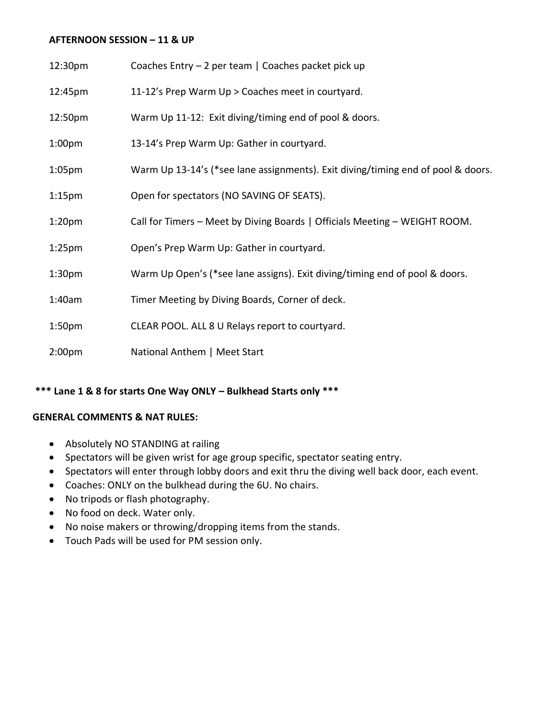#### **AFTERNOON SESSION – 11 & UP**

| 12:30pm            | Coaches Entry - 2 per team   Coaches packet pick up                              |
|--------------------|----------------------------------------------------------------------------------|
| 12:45pm            | 11-12's Prep Warm Up > Coaches meet in courtyard.                                |
| 12:50pm            | Warm Up 11-12: Exit diving/timing end of pool & doors.                           |
| 1:00 <sub>pm</sub> | 13-14's Prep Warm Up: Gather in courtyard.                                       |
| 1:05 <sub>pm</sub> | Warm Up 13-14's (*see lane assignments). Exit diving/timing end of pool & doors. |
| 1:15 <sub>pm</sub> | Open for spectators (NO SAVING OF SEATS).                                        |
| 1:20 <sub>pm</sub> | Call for Timers - Meet by Diving Boards   Officials Meeting - WEIGHT ROOM.       |
| 1:25 <sub>pm</sub> | Open's Prep Warm Up: Gather in courtyard.                                        |
| 1:30 <sub>pm</sub> | Warm Up Open's (*see lane assigns). Exit diving/timing end of pool & doors.      |
| 1:40am             | Timer Meeting by Diving Boards, Corner of deck.                                  |
| 1:50 <sub>pm</sub> | CLEAR POOL. ALL 8 U Relays report to courtyard.                                  |
| 2:00 <sub>pm</sub> | National Anthem   Meet Start                                                     |

## **\*\*\* Lane 1 & 8 for starts One Way ONLY – Bulkhead Starts only \*\*\***

#### **GENERAL COMMENTS & NAT RULES:**

- Absolutely NO STANDING at railing
- Spectators will be given wrist for age group specific, spectator seating entry.
- Spectators will enter through lobby doors and exit thru the diving well back door, each event.
- Coaches: ONLY on the bulkhead during the 6U. No chairs.
- No tripods or flash photography.
- No food on deck. Water only.
- No noise makers or throwing/dropping items from the stands.
- Touch Pads will be used for PM session only.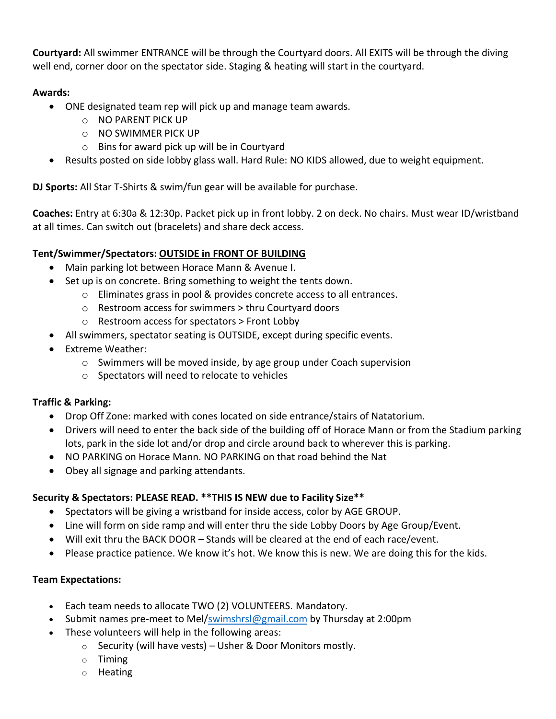**Courtyard:** All swimmer ENTRANCE will be through the Courtyard doors. All EXITS will be through the diving well end, corner door on the spectator side. Staging & heating will start in the courtyard.

### **Awards:**

- ONE designated team rep will pick up and manage team awards.
	- o NO PARENT PICK UP
	- o NO SWIMMER PICK UP
	- o Bins for award pick up will be in Courtyard
- Results posted on side lobby glass wall. Hard Rule: NO KIDS allowed, due to weight equipment.

**DJ Sports:** All Star T-Shirts & swim/fun gear will be available for purchase.

**Coaches:** Entry at 6:30a & 12:30p. Packet pick up in front lobby. 2 on deck. No chairs. Must wear ID/wristband at all times. Can switch out (bracelets) and share deck access.

## **Tent/Swimmer/Spectators: OUTSIDE in FRONT OF BUILDING**

- Main parking lot between Horace Mann & Avenue I.
- Set up is on concrete. Bring something to weight the tents down.
	- o Eliminates grass in pool & provides concrete access to all entrances.
	- o Restroom access for swimmers > thru Courtyard doors
	- o Restroom access for spectators > Front Lobby
- All swimmers, spectator seating is OUTSIDE, except during specific events.
- Extreme Weather:
	- o Swimmers will be moved inside, by age group under Coach supervision
	- o Spectators will need to relocate to vehicles

### **Traffic & Parking:**

- Drop Off Zone: marked with cones located on side entrance/stairs of Natatorium.
- Drivers will need to enter the back side of the building off of Horace Mann or from the Stadium parking lots, park in the side lot and/or drop and circle around back to wherever this is parking.
- NO PARKING on Horace Mann. NO PARKING on that road behind the Nat
- Obey all signage and parking attendants.

### **Security & Spectators: PLEASE READ. \*\*THIS IS NEW due to Facility Size\*\***

- Spectators will be giving a wristband for inside access, color by AGE GROUP.
- Line will form on side ramp and will enter thru the side Lobby Doors by Age Group/Event.
- Will exit thru the BACK DOOR Stands will be cleared at the end of each race/event.
- Please practice patience. We know it's hot. We know this is new. We are doing this for the kids.

### **Team Expectations:**

- Each team needs to allocate TWO (2) VOLUNTEERS. Mandatory.
- Submit names pre-meet to Mel[/swimshrsl@gmail.com](mailto:swimshrsl@gmail.com) by Thursday at 2:00pm
- These volunteers will help in the following areas:
	- $\circ$  Security (will have vests) Usher & Door Monitors mostly.
	- o Timing
	- o Heating